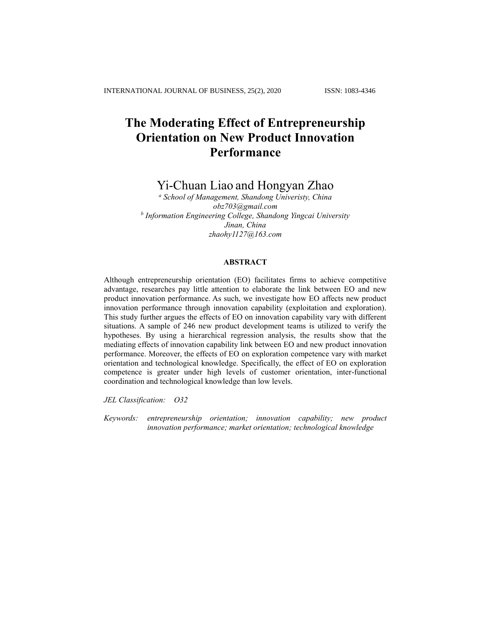# **The Moderating Effect of Entrepreneurship Orientation on New Product Innovation Performance**

## Yi-Chuan Liao and Hongyan Zhao

*<sup>a</sup> School of Management, Shandong Univeristy, China obz703@gmail.com b Information Engineering College, Shandong Yingcai University Jinan, China [zhaohy1127@163.com](mailto:zhaohy1127@163.com)*

## **ABSTRACT**

Although entrepreneurship orientation (EO) facilitates firms to achieve competitive advantage, researches pay little attention to elaborate the link between EO and new product innovation performance. As such, we investigate how EO affects new product innovation performance through innovation capability (exploitation and exploration). This study further argues the effects of EO on innovation capability vary with different situations. A sample of 246 new product development teams is utilized to verify the hypotheses. By using a hierarchical regression analysis, the results show that the mediating effects of innovation capability link between EO and new product innovation performance. Moreover, the effects of EO on exploration competence vary with market orientation and technological knowledge. Specifically, the effect of EO on exploration competence is greater under high levels of customer orientation, inter-functional coordination and technological knowledge than low levels.

*JEL Classification: O32* 

*Keywords: entrepreneurship orientation; innovation capability; new product innovation performance; market orientation; technological knowledge*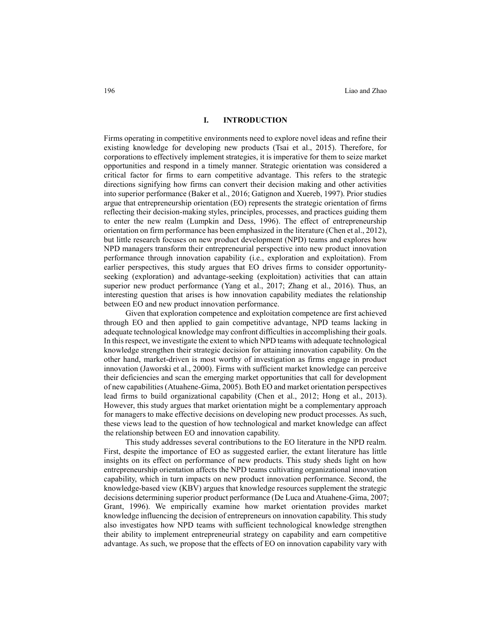#### **I. INTRODUCTION**

Firms operating in competitive environments need to explore novel ideas and refine their existing knowledge for developing new products (Tsai et al., 2015). Therefore, for corporations to effectively implement strategies, it is imperative for them to seize market opportunities and respond in a timely manner. Strategic orientation was considered a critical factor for firms to earn competitive advantage. This refers to the strategic directions signifying how firms can convert their decision making and other activities into superior performance (Baker et al., 2016; Gatignon and Xuereb, 1997). Prior studies argue that entrepreneurship orientation (EO) represents the strategic orientation of firms reflecting their decision-making styles, principles, processes, and practices guiding them to enter the new realm (Lumpkin and Dess, 1996). The effect of entrepreneurship orientation on firm performance has been emphasized in the literature (Chen et al., 2012), but little research focuses on new product development (NPD) teams and explores how NPD managers transform their entrepreneurial perspective into new product innovation performance through innovation capability (i.e., exploration and exploitation). From earlier perspectives, this study argues that EO drives firms to consider opportunityseeking (exploration) and advantage-seeking (exploitation) activities that can attain superior new product performance (Yang et al., 2017; Zhang et al., 2016). Thus, an interesting question that arises is how innovation capability mediates the relationship between EO and new product innovation performance.

Given that exploration competence and exploitation competence are first achieved through EO and then applied to gain competitive advantage, NPD teams lacking in adequate technological knowledge may confront difficulties in accomplishing their goals. In this respect, we investigate the extent to which NPD teams with adequate technological knowledge strengthen their strategic decision for attaining innovation capability. On the other hand, market-driven is most worthy of investigation as firms engage in product innovation (Jaworski et al., 2000). Firms with sufficient market knowledge can perceive their deficiencies and scan the emerging market opportunities that call for development of new capabilities (Atuahene-Gima, 2005). Both EO and market orientation perspectives lead firms to build organizational capability (Chen et al., 2012; Hong et al., 2013). However, this study argues that market orientation might be a complementary approach for managers to make effective decisions on developing new product processes. As such, these views lead to the question of how technological and market knowledge can affect the relationship between EO and innovation capability.

This study addresses several contributions to the EO literature in the NPD realm. First, despite the importance of EO as suggested earlier, the extant literature has little insights on its effect on performance of new products. This study sheds light on how entrepreneurship orientation affects the NPD teams cultivating organizational innovation capability, which in turn impacts on new product innovation performance. Second, the knowledge-based view (KBV) argues that knowledge resources supplement the strategic decisions determining superior product performance (De Luca and Atuahene-Gima, 2007; Grant, 1996). We empirically examine how market orientation provides market knowledge influencing the decision of entrepreneurs on innovation capability. This study also investigates how NPD teams with sufficient technological knowledge strengthen their ability to implement entrepreneurial strategy on capability and earn competitive advantage. As such, we propose that the effects of EO on innovation capability vary with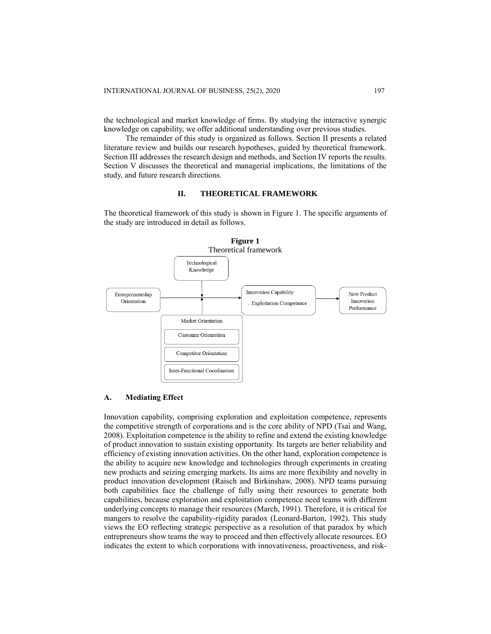the technological and market knowledge of firms. By studying the interactive synergic knowledge on capability, we offer additional understanding over previous studies.

The remainder of this study is organized as follows. Section II presents a related literature review and builds our research hypotheses, guided by theoretical framework. Section III addresses the research design and methods, and Section IV reports the results. Section V discusses the theoretical and managerial implications, the limitations of the study, and future research directions.

## **II. THEORETICAL FRAMEWORK**

The theoretical framework of this study is shown in Figure 1. The specific arguments of the study are introduced in detail as follows.



#### **A. Mediating Effect**

Innovation capability, comprising exploration and exploitation competence, represents the competitive strength of corporations and is the core ability of NPD [\(Tsai and](#page-16-0) Wang, [2008\)](#page-16-0). Exploitation competence is the ability to refine and extend the existing knowledge of product innovation to sustain existing opportunity. Its targets are better reliability and efficiency of existing innovation activities. On the other hand, exploration competence is the ability to acquire new knowledge and technologies through experiments in creating new products and seizing emerging markets. Its aims are more flexibility and novelty in product innovation development (Raisch and [Birkinshaw, 2008\)](#page-17-0). NPD teams pursuing both capabilities face the challenge of fully using their resources to generate both capabilities, because exploration and exploitation competence need teams with different underlying concepts to manage their resources (March, 1991). Therefore, it is critical for mangers to resolve the capability-rigidity paradox (Leonard-Barton, 1992). This study views the EO reflecting strategic perspective as a resolution of that paradox by which entrepreneurs show teams the way to proceed and then effectively allocate resources. EO indicates the extent to which corporations with innovativeness, proactiveness, and risk-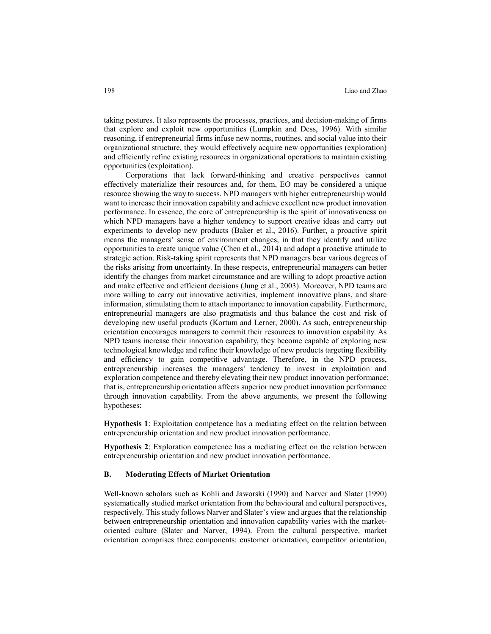taking postures. It also represents the processes, practices, and decision-making of firms that explore and exploit new opportunities (Lumpkin and Dess, 1996). With similar reasoning, if entrepreneurial firms infuse new norms, routines, and social value into their organizational structure, they would effectively acquire new opportunities (exploration) and efficiently refine existing resources in organizational operations to maintain existing opportunities (exploitation).

Corporations that lack forward-thinking and creative perspectives cannot effectively materialize their resources and, for them, EO may be considered a unique resource showing the way to success. NPD managers with higher entrepreneurship would want to increase their innovation capability and achieve excellent new product innovation performance. In essence, the core of entrepreneurship is the spirit of innovativeness on which NPD managers have a higher tendency to support creative ideas and carry out experiments to develop new products (Baker et al., 2016). Further, a proactive spirit means the managers' sense of environment changes, in that they identify and utilize opportunities to create unique value (Chen et al., 2014) and adopt a proactive attitude to strategic action. Risk-taking spirit represents that NPD managers bear various degrees of the risks arising from uncertainty. In these respects, entrepreneurial managers can better identify the changes from market circumstance and are willing to adopt proactive action and make effective and efficient decisions (Jung et al., 2003). Moreover, NPD teams are more willing to carry out innovative activities, implement innovative plans, and share information, stimulating them to attach importance to innovation capability. Furthermore, entrepreneurial managers are also pragmatists and thus balance the cost and risk of developing new useful products (Kortum and Lerner, 2000). As such, entrepreneurship orientation encourages managers to commit their resources to innovation capability. As NPD teams increase their innovation capability, they become capable of exploring new technological knowledge and refine their knowledge of new products targeting flexibility and efficiency to gain competitive advantage. Therefore, in the NPD process, entrepreneurship increases the managers' tendency to invest in exploitation and exploration competence and thereby elevating their new product innovation performance; that is, entrepreneurship orientation affects superior new product innovation performance through innovation capability. From the above arguments, we present the following hypotheses:

**Hypothesis 1**: Exploitation competence has a mediating effect on the relation between entrepreneurship orientation and new product innovation performance.

**Hypothesis 2**: Exploration competence has a mediating effect on the relation between entrepreneurship orientation and new product innovation performance.

#### **B. Moderating Effects of Market Orientation**

Well-known scholars such as Kohli and Jaworski (1990) and Narver and Slater (1990) systematically studied market orientation from the behavioural and cultural perspectives, respectively. This study follows Narver and Slater's view and argues that the relationship between entrepreneurship orientation and innovation capability varies with the marketoriented culture (Slater and Narver, 1994). From the cultural perspective, market orientation comprises three components: customer orientation, competitor orientation,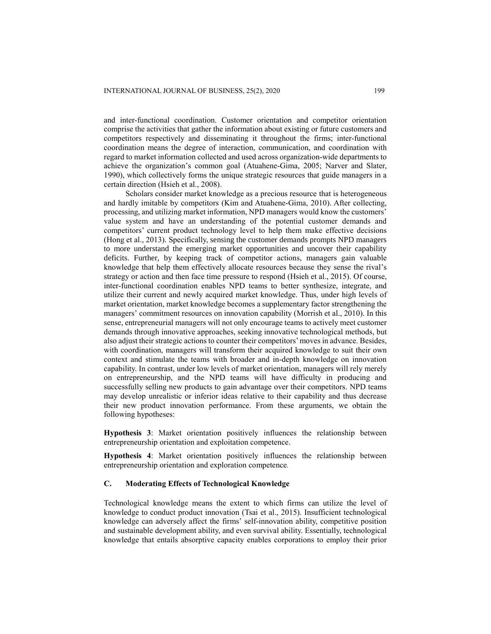and inter-functional coordination. Customer orientation and competitor orientation comprise the activities that gather the information about existing or future customers and competitors respectively and disseminating it throughout the firms; inter-functional coordination means the degree of interaction, communication, and coordination with regard to market information collected and used across organization-wide departments to achieve the organization's common goal (Atuahene-Gima, 2005; Narver and Slater, 1990), which collectively forms the unique strategic resources that guide managers in a certain direction (Hsieh et al., 2008).

Scholars consider market knowledge as a precious resource that is heterogeneous and hardly imitable by competitors (Kim and [Atuahene-Gima, 2010\)](#page-16-1). After collecting, processing, and utilizing market information, NPD managers would know the customers' value system and have an understanding of the potential customer demands and competitors' current product technology level to help them make effective decisions (Hong et al., 2013). Specifically, sensing the customer demands prompts NPD managers to more understand the emerging market opportunities and uncover their capability deficits. Further, by keeping track of competitor actions, managers gain valuable knowledge that help them effectively allocate resources because they sense the rival's strategy or action and then face time pressure to respond (Hsieh et al., 2015). Of course, inter-functional coordination enables NPD teams to better synthesize, integrate, and utilize their current and newly acquired market knowledge. Thus, under high levels of market orientation, market knowledge becomes a supplementary factor strengthening the managers' commitment resources on innovation capability (Morrish [et al., 2010\)](#page-17-1). In this sense, entrepreneurial managers will not only encourage teams to actively meet customer demands through innovative approaches, seeking innovative technological methods, but also adjust their strategic actions to counter their competitors' moves in advance. Besides, with coordination, managers will transform their acquired knowledge to suit their own context and stimulate the teams with broader and in-depth knowledge on innovation capability. In contrast, under low levels of market orientation, managers will rely merely on entrepreneurship, and the NPD teams will have difficulty in producing and successfully selling new products to gain advantage over their competitors. NPD teams may develop unrealistic or inferior ideas relative to their capability and thus decrease their new product innovation performance. From these arguments, we obtain the following hypotheses:

**Hypothesis 3**: Market orientation positively influences the relationship between entrepreneurship orientation and exploitation competence.

**Hypothesis 4**: Market orientation positively influences the relationship between entrepreneurship orientation and exploration competence*.*

#### **C. Moderating Effects of Technological Knowledge**

Technological knowledge means the extent to which firms can utilize the level of knowledge to conduct product innovation (Tsai et al., 2015). Insufficient technological knowledge can adversely affect the firms' self-innovation ability, competitive position and sustainable development ability, and even survival ability. Essentially, technological knowledge that entails absorptive capacity enables corporations to employ their prior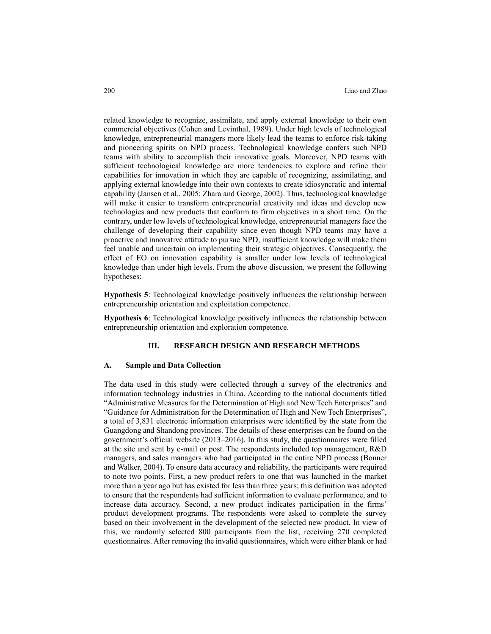related knowledge to recognize, assimilate, and apply external knowledge to their own commercial objectives (Cohen and Levinthal, 1989). Under high levels of technological knowledge, entrepreneurial managers more likely lead the teams to enforce risk-taking and pioneering spirits on NPD process. Technological knowledge confers such NPD teams with ability to accomplish their innovative goals. Moreover, NPD teams with sufficient technological knowledge are more tendencies to explore and refine their capabilities for innovation in which they are capable of recognizing, assimilating, and applying external knowledge into their own contexts to create idiosyncratic and internal capability (Jansen et al., 2005; Zhara and George, 2002). Thus, technological knowledge will make it easier to transform entrepreneurial creativity and ideas and develop new technologies and new products that conform to firm objectives in a short time. On the contrary, under low levels of technological knowledge, entrepreneurial managers face the challenge of developing their capability since even though NPD teams may have a proactive and innovative attitude to pursue NPD, insufficient knowledge will make them feel unable and uncertain on implementing their strategic objectives. Consequently, the effect of EO on innovation capability is smaller under low levels of technological knowledge than under high levels. From the above discussion, we present the following hypotheses:

**Hypothesis 5**: Technological knowledge positively influences the relationship between entrepreneurship orientation and exploitation competence.

**Hypothesis 6**: Technological knowledge positively influences the relationship between entrepreneurship orientation and exploration competence.

#### **III. RESEARCH DESIGN AND RESEARCH METHODS**

#### **A. Sample and Data Collection**

The data used in this study were collected through a survey of the electronics and information technology industries in China. According to the national documents titled "Administrative Measures for the Determination of High and New Tech Enterprises" and "Guidance for Administration for the Determination of High and New Tech Enterprises", a total of 3,831 electronic information enterprises were identified by the state from the Guangdong and Shandong provinces. The details of these enterprises can be found on the government's official website (2013–2016). In this study, the questionnaires were filled at the site and sent by e-mail or post. The respondents included top management, R&D managers, and sales managers who had participated in the entire NPD process (Bonner and Walker, 2004). To ensure data accuracy and reliability, the participants were required to note two points. First, a new product refers to one that was launched in the market more than a year ago but has existed for less than three years; this definition was adopted to ensure that the respondents had sufficient information to evaluate performance, and to increase data accuracy. Second, a new product indicates participation in the firms' product development programs. The respondents were asked to complete the survey based on their involvement in the development of the selected new product. In view of this, we randomly selected 800 participants from the list, receiving 270 completed questionnaires. After removing the invalid questionnaires, which were either blank or had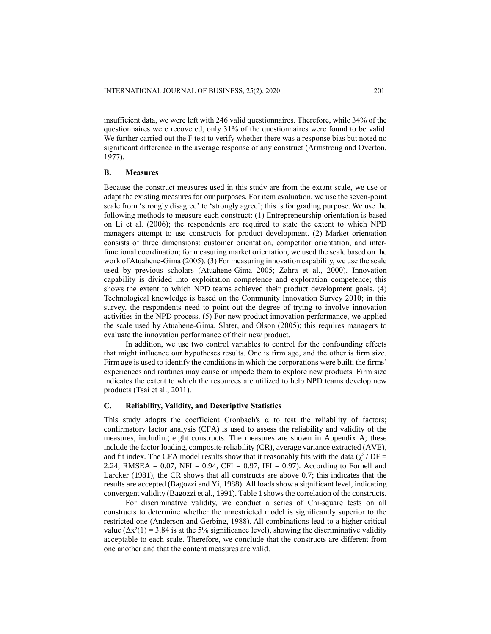insufficient data, we were left with 246 valid questionnaires. Therefore, while 34% of the questionnaires were recovered, only 31% of the questionnaires were found to be valid. We further carried out the F test to verify whether there was a response bias but noted no significant difference in the average response of any construct (Armstrong and Overton, 1977).

#### **B. Measures**

Because the construct measures used in this study are from the extant scale, we use or adapt the existing measures for our purposes. For item evaluation, we use the seven-point scale from 'strongly disagree' to 'strongly agree'; this is for grading purpose. We use the following methods to measure each construct: (1) Entrepreneurship orientation is based on Li et al. (2006); the respondents are required to state the extent to which NPD managers attempt to use constructs for product development. (2) Market orientation consists of three dimensions: customer orientation, competitor orientation, and interfunctional coordination; for measuring market orientation, we used the scale based on the work of Atuahene-Gima (2005). (3) For measuring innovation capability, we use the scale used by previous scholars (Atuahene-Gima 2005; Zahra et al., 2000). Innovation capability is divided into exploitation competence and exploration competence; this shows the extent to which NPD teams achieved their product development goals. (4) Technological knowledge is based on the Community Innovation Survey 2010; in this survey, the respondents need to point out the degree of trying to involve innovation activities in the NPD process. (5) For new product innovation performance, we applied the scale used by Atuahene-Gima, Slater, and Olson (2005); this requires managers to evaluate the innovation performance of their new product.

In addition, we use two control variables to control for the confounding effects that might influence our hypotheses results. One is firm age, and the other is firm size. Firm age is used to identify the conditions in which the corporations were built; the firms' experiences and routines may cause or impede them to explore new products. Firm size indicates the extent to which the resources are utilized to help NPD teams develop new products (Tsai et al., 2011).

#### **C. Reliability, Validity, and Descriptive Statistics**

This study adopts the coefficient Cronbach's  $\alpha$  to test the reliability of factors; confirmatory factor analysis (CFA) is used to assess the reliability and validity of the measures, including eight constructs. The measures are shown in Appendix A; these include the factor loading, composite reliability (CR), average variance extracted (AVE), and fit index. The CFA model results show that it reasonably fits with the data  $(\chi^2/DF =$ 2.24, RMSEA =  $0.07$ , NFI =  $0.94$ , CFI =  $0.97$ , IFI =  $0.97$ ). According to Fornell and Larcker (1981), the CR shows that all constructs are above 0.7; this indicates that the results are accepted (Bagozzi and Yi, 1988). All loads show a significant level, indicating convergent validity (Bagozzi et al., 1991). Table 1 shows the correlation of the constructs.

For discriminative validity, we conduct a series of Chi-square tests on all constructs to determine whether the unrestricted model is significantly superior to the restricted one (Anderson and Gerbing, 1988). All combinations lead to a higher critical value  $(\Delta x^2(1) = 3.84$  is at the 5% significance level), showing the discriminative validity acceptable to each scale. Therefore, we conclude that the constructs are different from one another and that the content measures are valid.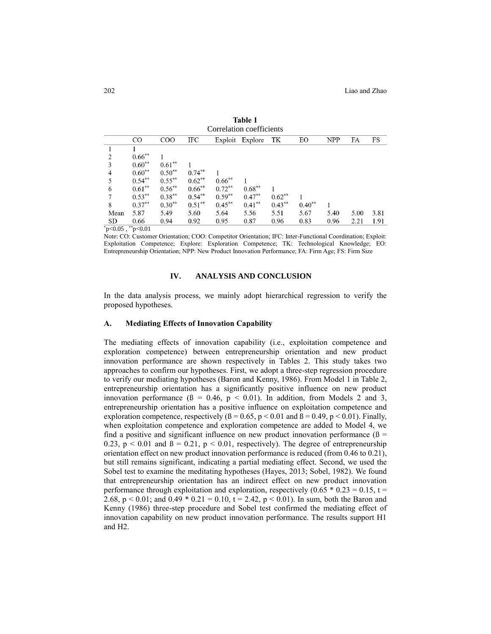| Correlation coefficients |               |              |           |           |           |           |          |            |      |      |
|--------------------------|---------------|--------------|-----------|-----------|-----------|-----------|----------|------------|------|------|
|                          | <sub>CO</sub> | $_{\rm COO}$ | IFC       | Exploit   | Explore   | TK        | EO       | <b>NPP</b> | FA   | FS   |
|                          |               |              |           |           |           |           |          |            |      |      |
| 2                        | $0.66***$     |              |           |           |           |           |          |            |      |      |
| 3                        | $0.60**$      | $0.61**$     |           |           |           |           |          |            |      |      |
| 4                        | $0.60**$      | $0.50**$     | $0.74***$ |           |           |           |          |            |      |      |
| 5                        | $0.54***$     | $0.55***$    | $0.62***$ | $0.66***$ |           |           |          |            |      |      |
| 6                        | $0.61**$      | $0.56***$    | $0.66***$ | $0.72***$ | $0.68***$ |           |          |            |      |      |
| 7                        | $0.53***$     | $0.38***$    | $0.54**$  | $0.59***$ | $0.47***$ | $0.62***$ |          |            |      |      |
| 8                        | $0.37**$      | $0.30**$     | $0.51***$ | $0.45***$ | $0.41***$ | $0.43***$ | $0.40**$ |            |      |      |
| Mean                     | 5.87          | 5.49         | 5.60      | 5.64      | 5.56      | 5.51      | 5.67     | 5.40       | 5.00 | 3.81 |
| <b>SD</b>                | 0.66          | 0.94         | 0.92      | 0.95      | 0.87      | 0.96      | 0.83     | 0.96       | 2.21 | 1.91 |
| $p<0.05$ , $p<0.01$      |               |              |           |           |           |           |          |            |      |      |

**Table 1**

Note: CO: Customer Orientation; COO: Competitor Orientation; IFC: Inter-Functional Coordination; Exploit: Exploitation Competence; Explore: Exploration Competence; TK: Technological Knowledge; EO: Entrepreneurship Orientation; NPP: New Product Innovation Performance; FA: Firm Age; FS: Firm Size

#### **IV. ANALYSIS AND CONCLUSION**

In the data analysis process, we mainly adopt hierarchical regression to verify the proposed hypotheses.

### **A. Mediating Effects of Innovation Capability**

The mediating effects of innovation capability (i.e., exploitation competence and exploration competence) between entrepreneurship orientation and new product innovation performance are shown respectively in Tables 2. This study takes two approaches to confirm our hypotheses. First, we adopt a three-step regression procedure to verify our mediating hypotheses (Baron and Kenny, 1986). From Model 1 in Table 2, entrepreneurship orientation has a significantly positive influence on new product innovation performance ( $\beta = 0.46$ ,  $p < 0.01$ ). In addition, from Models 2 and 3, entrepreneurship orientation has a positive influence on exploitation competence and exploration competence, respectively  $(β = 0.65, p < 0.01$  and  $β = 0.49, p < 0.01)$ . Finally, when exploitation competence and exploration competence are added to Model 4, we find a positive and significant influence on new product innovation performance  $(β =$ 0.23,  $p < 0.01$  and  $\beta = 0.21$ ,  $p < 0.01$ , respectively). The degree of entrepreneurship orientation effect on new product innovation performance is reduced (from 0.46 to 0.21), but still remains significant, indicating a partial mediating effect. Second, we used the Sobel test to examine the meditating hypotheses (Hayes, 2013; Sobel, 1982). We found that entrepreneurship orientation has an indirect effect on new product innovation performance through exploitation and exploration, respectively  $(0.65 * 0.23 = 0.15, t =$ 2.68,  $p < 0.01$ ; and 0.49  $*$  0.21 = 0.10,  $t = 2.42$ ,  $p < 0.01$ ). In sum, both the Baron and Kenny (1986) three-step procedure and Sobel test confirmed the mediating effect of innovation capability on new product innovation performance. The results support H1 and H2.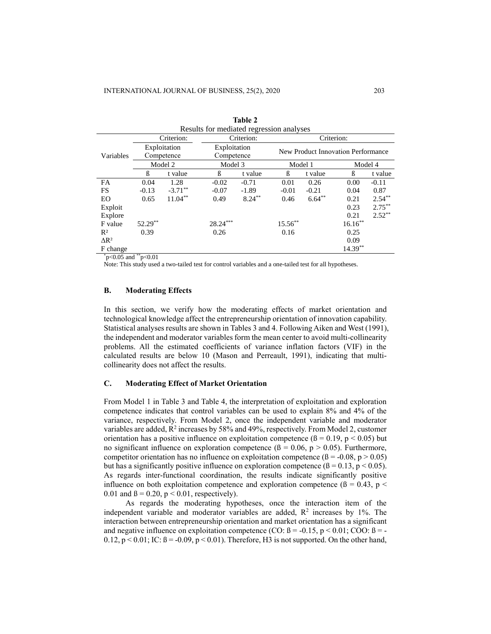| Results for mediated regression analyses |                            |            |                            |            |                                    |           |            |           |  |  |
|------------------------------------------|----------------------------|------------|----------------------------|------------|------------------------------------|-----------|------------|-----------|--|--|
|                                          |                            | Criterion: |                            | Criterion: | Criterion:                         |           |            |           |  |  |
| Variables                                | Exploitation<br>Competence |            | Exploitation<br>Competence |            | New Product Innovation Performance |           |            |           |  |  |
|                                          |                            | Model 2    | Model 3                    |            | Model 1                            |           |            | Model 4   |  |  |
|                                          | ß                          | t value    | ß                          | t value    | ß                                  | t value   | ß          | t value   |  |  |
| FA                                       | 0.04                       | 1.28       | $-0.02$                    | $-0.71$    | 0.01                               | 0.26      | 0.00       | $-0.11$   |  |  |
| FS                                       | $-0.13$                    | $-3.71***$ | $-0.07$                    | $-1.89$    | $-0.01$                            | $-0.21$   | 0.04       | 0.87      |  |  |
| EO                                       | 0.65                       | $11.04***$ | 0.49                       | $8.24***$  | 0.46                               | $6.64***$ | 0.21       | $2.54***$ |  |  |
| Exploit                                  |                            |            |                            |            |                                    |           | 0.23       | $2.75***$ |  |  |
| Explore                                  |                            |            |                            |            |                                    |           | 0.21       | $2.52***$ |  |  |
| F value                                  | 52.29**                    |            | $28.24***$                 |            | 15.56**                            |           | $16.16***$ |           |  |  |
| $R^2$                                    | 0.39                       |            | 0.26                       |            | 0.16                               |           | 0.25       |           |  |  |
| $\Delta$ R <sup>2</sup>                  |                            |            |                            |            |                                    |           | 0.09       |           |  |  |
| F change                                 | <b>Contractor</b>          |            |                            |            |                                    |           | $14.39***$ |           |  |  |

| Table 2                                  |
|------------------------------------------|
| Results for mediated regression analyses |

 $\degree$ p<0.05 and  $\degree$ <sup>\*</sup>p<0.01

Note: This study used a two-tailed test for control variables and a one-tailed test for all hypotheses.

## **B. Moderating Effects**

In this section, we verify how the moderating effects of market orientation and technological knowledge affect the entrepreneurship orientation of innovation capability. Statistical analyses results are shown in Tables 3 and 4. Following Aiken and West (1991), the independent and moderator variables form the mean center to avoid multi-collinearity problems. All the estimated coefficients of variance inflation factors (VIF) in the calculated results are below 10 (Mason and Perreault, 1991), indicating that multicollinearity does not affect the results.

## **C. Moderating Effect of Market Orientation**

From Model 1 in Table 3 and Table 4, the interpretation of exploitation and exploration competence indicates that control variables can be used to explain 8% and 4% of the variance, respectively. From Model 2, once the independent variable and moderator variables are added,  $R^2$  increases by 58% and 49%, respectively. From Model 2, customer orientation has a positive influence on exploitation competence ( $\beta = 0.19$ , p < 0.05) but no significant influence on exploration competence ( $\beta = 0.06$ ,  $p > 0.05$ ). Furthermore, competitor orientation has no influence on exploitation competence  $(\beta = -0.08, p > 0.05)$ but has a significantly positive influence on exploration competence ( $\beta = 0.13$ , p < 0.05). As regards inter-functional coordination, the results indicate significantly positive influence on both exploitation competence and exploration competence ( $\beta = 0.43$ , p < 0.01 and  $\beta$  = 0.20, p < 0.01, respectively).

As regards the moderating hypotheses, once the interaction item of the independent variable and moderator variables are added,  $R^2$  increases by 1%. The interaction between entrepreneurship orientation and market orientation has a significant and negative influence on exploitation competence (CO:  $\beta = -0.15$ , p < 0.01; COO:  $\beta = -15$ 0.12,  $p < 0.01$ ; IC:  $\beta = -0.09$ ,  $p < 0.01$ ). Therefore, H3 is not supported. On the other hand,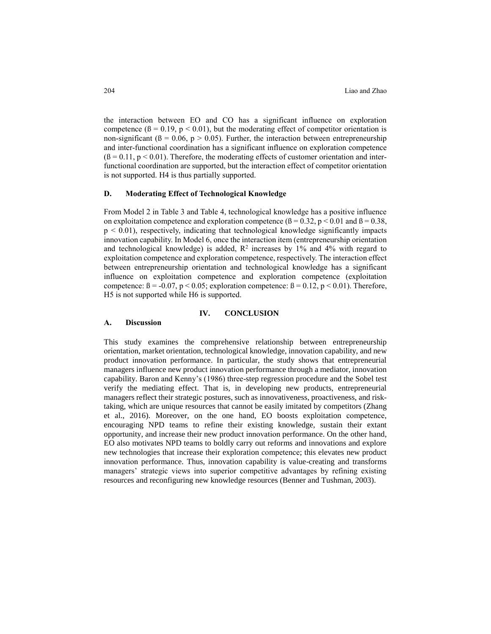the interaction between EO and CO has a significant influence on exploration competence ( $\beta = 0.19$ ,  $p < 0.01$ ), but the moderating effect of competitor orientation is non-significant ( $\beta = 0.06$ ,  $p > 0.05$ ). Further, the interaction between entrepreneurship and inter-functional coordination has a significant influence on exploration competence  $(β = 0.11, p < 0.01)$ . Therefore, the moderating effects of customer orientation and interfunctional coordination are supported, but the interaction effect of competitor orientation is not supported. H4 is thus partially supported.

## **D. Moderating Effect of Technological Knowledge**

From Model 2 in Table 3 and Table 4, technological knowledge has a positive influence on exploitation competence and exploration competence ( $\beta = 0.32$ ,  $p < 0.01$  and  $\beta = 0.38$ ,  $p < 0.01$ ), respectively, indicating that technological knowledge significantly impacts innovation capability. In Model 6, once the interaction item (entrepreneurship orientation and technological knowledge) is added,  $\mathbb{R}^2$  increases by 1% and 4% with regard to exploitation competence and exploration competence, respectively. The interaction effect between entrepreneurship orientation and technological knowledge has a significant influence on exploitation competence and exploration competence (exploitation competence:  $\beta = -0.07$ ,  $p < 0.05$ ; exploration competence:  $\beta = 0.12$ ,  $p < 0.01$ ). Therefore, H5 is not supported while H6 is supported.

## **IV. CONCLUSION**

#### **A. Discussion**

This study examines the comprehensive relationship between entrepreneurship orientation, market orientation, technological knowledge, innovation capability, and new product innovation performance. In particular, the study shows that entrepreneurial managers influence new product innovation performance through a mediator, innovation capability. Baron and Kenny's (1986) three-step regression procedure and the Sobel test verify the mediating effect. That is, in developing new products, entrepreneurial managers reflect their strategic postures, such as innovativeness, proactiveness, and risktaking, which are unique resources that cannot be easily imitated by competitors (Zhang et al., 2016). Moreover, on the one hand, EO boosts exploitation competence, encouraging NPD teams to refine their existing knowledge, sustain their extant opportunity, and increase their new product innovation performance. On the other hand, EO also motivates NPD teams to boldly carry out reforms and innovations and explore new technologies that increase their exploration competence; this elevates new product innovation performance. Thus, innovation capability is value-creating and transforms managers' strategic views into superior competitive advantages by refining existing resources and reconfiguring new knowledge resources (Benner and Tushman, 2003).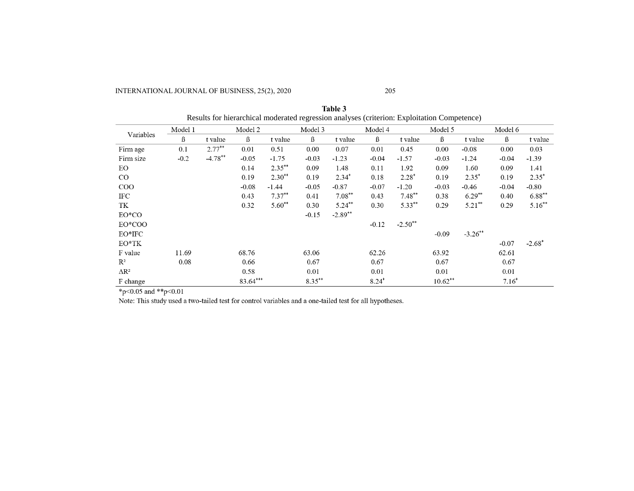INTERNATIONAL JOURNAL OF BUSINESS, 25(2), 2020 205

|                         |         |            | Results for hierarchical moderated regression analyses (criterion: Exploitation Competence) |           |           |           |         |           |                      |            |         |           |
|-------------------------|---------|------------|---------------------------------------------------------------------------------------------|-----------|-----------|-----------|---------|-----------|----------------------|------------|---------|-----------|
| Variables               | Model 1 |            | Model 2                                                                                     |           | Model 3   |           | Model 4 |           | Model 5              |            | Model 6 |           |
|                         | ß       | t value    | ß                                                                                           | t value   | ß         | t value   | ß       | t value   | $\boldsymbol{\beta}$ | t value    | ß       | t value   |
| Firm age                | 0.1     | $2.77***$  | 0.01                                                                                        | 0.51      | 0.00      | 0.07      | 0.01    | 0.45      | 0.00                 | $-0.08$    | 0.00    | 0.03      |
| Firm size               | $-0.2$  | $-4.78***$ | $-0.05$                                                                                     | $-1.75$   | $-0.03$   | $-1.23$   | $-0.04$ | $-1.57$   | $-0.03$              | $-1.24$    | $-0.04$ | $-1.39$   |
| EO.                     |         |            | 0.14                                                                                        | $2.35***$ | 0.09      | 1.48      | 0.11    | 1.92      | 0.09                 | 1.60       | 0.09    | 1.41      |
| $_{\rm CO}$             |         |            | 0.19                                                                                        | $2.30**$  | 0.19      | $2.34*$   | 0.18    | $2.28*$   | 0.19                 | $2.35*$    | 0.19    | $2.35*$   |
| $\rm{COO}$              |         |            | $-0.08$                                                                                     | $-1.44$   | $-0.05$   | $-0.87$   | $-0.07$ | $-1.20$   | $-0.03$              | $-0.46$    | $-0.04$ | $-0.80$   |
| IFC                     |         |            | 0.43                                                                                        | $7.37***$ | 0.41      | $7.08***$ | 0.43    | $7.48**$  | 0.38                 | $6.29**$   | 0.40    | $6.88***$ |
| TK                      |         |            | 0.32                                                                                        | $5.60**$  | 0.30      | $5.24***$ | 0.30    | $5.33***$ | 0.29                 | $5.21**$   | 0.29    | $5.16***$ |
| EO*CO                   |         |            |                                                                                             |           | $-0.15$   | $-2.89**$ |         |           |                      |            |         |           |
| EO*COO                  |         |            |                                                                                             |           |           |           | $-0.12$ | $-2.50**$ |                      |            |         |           |
| EO*IFC                  |         |            |                                                                                             |           |           |           |         |           | $-0.09$              | $-3.26$ ** |         |           |
| $EO^*TK$                |         |            |                                                                                             |           |           |           |         |           |                      |            | $-0.07$ | $-2.68*$  |
| F value                 | 11.69   |            | 68.76                                                                                       |           | 63.06     |           | 62.26   |           | 63.92                |            | 62.61   |           |
| $\mathbb{R}^2$          | 0.08    |            | 0.66                                                                                        |           | 0.67      |           | 0.67    |           | 0.67                 |            | 0.67    |           |
| $\Delta$ R <sup>2</sup> |         |            | 0.58                                                                                        |           | 0.01      |           | 0.01    |           | 0.01                 |            | 0.01    |           |
| F change                |         |            | 83.64***                                                                                    |           | $8.35***$ |           | $8.24*$ |           | $10.62**$            |            | $7.16*$ |           |

**Table 3** Results for hierarchical moderated regression analyses (criterion: Exploitation Competence)

 $*_{p<0.05}$  and  $*_{p<0.01}$ <br>Note: This study used a two-tailed test for control variables and a one-tailed test for all hypotheses.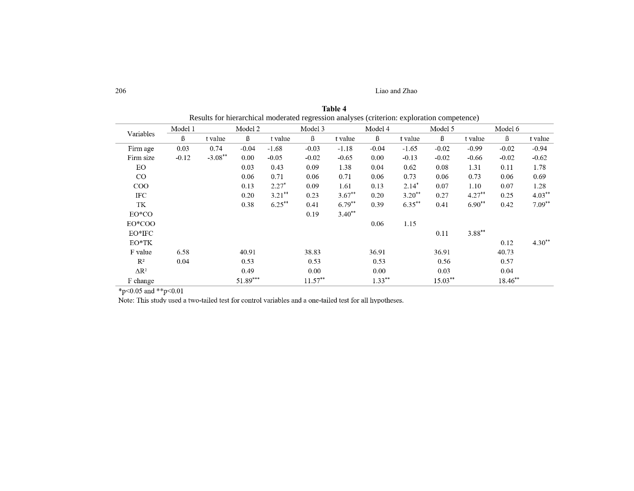206 Liao and Zhao

|                         | Results for merarchical moderated regression analyses (criterion: exploration competence) |           |            |           |            |          |           |           |         |           |         |           |
|-------------------------|-------------------------------------------------------------------------------------------|-----------|------------|-----------|------------|----------|-----------|-----------|---------|-----------|---------|-----------|
|                         | Model 1                                                                                   |           | Model 2    |           | Model 3    |          | Model 4   |           | Model 5 |           | Model 6 |           |
| Variables               | ß                                                                                         | t value   | $\beta$    | t value   | $\beta$    | t value  | $\beta$   | t value   | $\beta$ | t value   | $\beta$ | t value   |
| Firm age                | 0.03                                                                                      | 0.74      | $-0.04$    | $-1.68$   | $-0.03$    | $-1.18$  | $-0.04$   | $-1.65$   | $-0.02$ | $-0.99$   | $-0.02$ | $-0.94$   |
| Firm size               | $-0.12$                                                                                   | $-3.08**$ | $0.00\,$   | $-0.05$   | $-0.02$    | $-0.65$  | 0.00      | $-0.13$   | $-0.02$ | $-0.66$   | $-0.02$ | $-0.62$   |
| EО                      |                                                                                           |           | 0.03       | 0.43      | 0.09       | 1.38     | 0.04      | 0.62      | 0.08    | 1.31      | 0.11    | 1.78      |
| CO                      |                                                                                           |           | 0.06       | 0.71      | 0.06       | 0.71     | 0.06      | 0.73      | 0.06    | 0.73      | 0.06    | 0.69      |
| $_{\rm COO}$            |                                                                                           |           | 0.13       | $2.27*$   | 0.09       | 1.61     | 0.13      | $2.14*$   | 0.07    | 1.10      | 0.07    | 1.28      |
| IFC                     |                                                                                           |           | 0.20       | $3.21***$ | 0.23       | $3.67**$ | 0.20      | $3.20**$  | 0.27    | $4.27**$  | 0.25    | $4.03***$ |
| TK                      |                                                                                           |           | 0.38       | $6.25***$ | 0.41       | $6.79**$ | 0.39      | $6.35***$ | 0.41    | $6.90**$  | 0.42    | $7.09**$  |
| EO*CO                   |                                                                                           |           |            |           | 0.19       | $3.40**$ |           |           |         |           |         |           |
| EO*COO                  |                                                                                           |           |            |           |            |          | 0.06      | 1.15      |         |           |         |           |
| EO*IFC                  |                                                                                           |           |            |           |            |          |           |           | 0.11    | $3.88***$ |         |           |
| $EO^*TK$                |                                                                                           |           |            |           |            |          |           |           |         |           | 0.12    | $4.30**$  |
| F value                 | 6.58                                                                                      |           | 40.91      |           | 38.83      |          | 36.91     |           | 36.91   |           | 40.73   |           |
| $R^2$                   | 0.04                                                                                      |           | 0.53       |           | 0.53       |          | 0.53      |           | 0.56    |           | 0.57    |           |
| $\Delta$ R <sup>2</sup> |                                                                                           |           | 0.49       |           | 0.00       |          | 0.00      |           | 0.03    |           | 0.04    |           |
| F change                |                                                                                           |           | $51.89***$ |           | $11.57***$ |          | $1.33***$ |           | 15.03** |           | 18.46** |           |

| Table 4                                                                                    |
|--------------------------------------------------------------------------------------------|
| Results for hierarchical moderated regression analyses (criterion: exploration competence) |

\*p<0.05 and \*\*p<0.01

Note: This study used a two-tailed test for control variables and a one-tailed test for all hypotheses.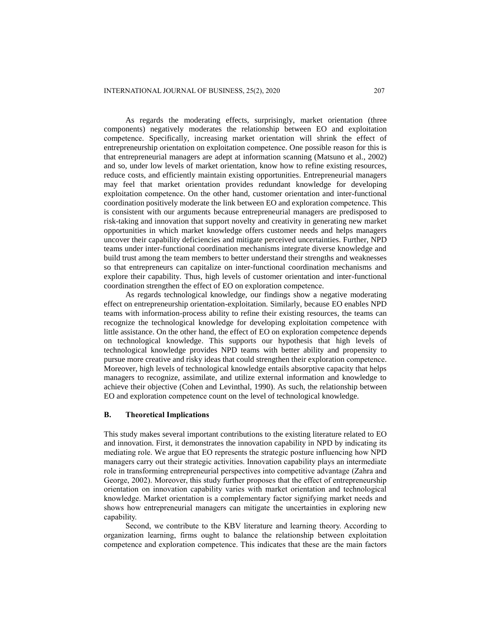As regards the moderating effects, surprisingly, market orientation (three components) negatively moderates the relationship between EO and exploitation competence. Specifically, increasing market orientation will shrink the effect of entrepreneurship orientation on exploitation competence. One possible reason for this is that entrepreneurial managers are adept at information scanning (Matsuno et al., 2002) and so, under low levels of market orientation, know how to refine existing resources, reduce costs, and efficiently maintain existing opportunities. Entrepreneurial managers may feel that market orientation provides redundant knowledge for developing exploitation competence. On the other hand, customer orientation and inter-functional coordination positively moderate the link between EO and exploration competence. This is consistent with our arguments because entrepreneurial managers are predisposed to risk-taking and innovation that support novelty and creativity in generating new market opportunities in which market knowledge offers customer needs and helps managers uncover their capability deficiencies and mitigate perceived uncertainties. Further, NPD teams under inter-functional coordination mechanisms integrate diverse knowledge and build trust among the team members to better understand their strengths and weaknesses so that entrepreneurs can capitalize on inter-functional coordination mechanisms and explore their capability. Thus, high levels of customer orientation and inter-functional coordination strengthen the effect of EO on exploration competence.

As regards technological knowledge, our findings show a negative moderating effect on entrepreneurship orientation-exploitation. Similarly, because EO enables NPD teams with information-process ability to refine their existing resources, the teams can recognize the technological knowledge for developing exploitation competence with little assistance. On the other hand, the effect of EO on exploration competence depends on technological knowledge. This supports our hypothesis that high levels of technological knowledge provides NPD teams with better ability and propensity to pursue more creative and risky ideas that could strengthen their exploration competence. Moreover, high levels of technological knowledge entails absorptive capacity that helps managers to recognize, assimilate, and utilize external information and knowledge to achieve their objective (Cohen and Levinthal, 1990). As such, the relationship between EO and exploration competence count on the level of technological knowledge.

## **B. Theoretical Implications**

This study makes several important contributions to the existing literature related to EO and innovation. First, it demonstrates the innovation capability in NPD by indicating its mediating role. We argue that EO represents the strategic posture influencing how NPD managers carry out their strategic activities. Innovation capability plays an intermediate role in transforming entrepreneurial perspectives into competitive advantage (Zahra and George, 2002). Moreover, this study further proposes that the effect of entrepreneurship orientation on innovation capability varies with market orientation and technological knowledge. Market orientation is a complementary factor signifying market needs and shows how entrepreneurial managers can mitigate the uncertainties in exploring new capability.

Second, we contribute to the KBV literature and learning theory. According to organization learning, firms ought to balance the relationship between exploitation competence and exploration competence. This indicates that these are the main factors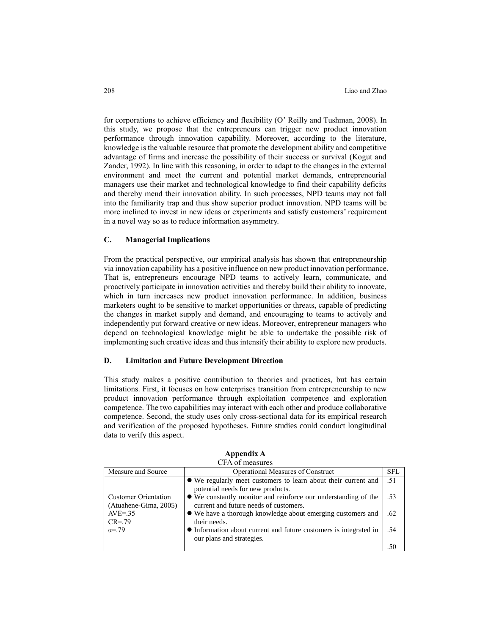for corporations to achieve efficiency and flexibility (O' Reilly and Tushman, 2008). In this study, we propose that the entrepreneurs can trigger new product innovation performance through innovation capability. Moreover, according to the literature, knowledge is the valuable resource that promote the development ability and competitive advantage of firms and increase the possibility of their success or survival (Kogut and Zander, 1992). In line with this reasoning, in order to adapt to the changes in the external environment and meet the current and potential market demands, entrepreneurial managers use their market and technological knowledge to find their capability deficits and thereby mend their innovation ability. In such processes, NPD teams may not fall into the familiarity trap and thus show superior product innovation. NPD teams will be more inclined to invest in new ideas or experiments and satisfy customers' requirement in a novel way so as to reduce information asymmetry.

## **C. Managerial Implications**

From the practical perspective, our empirical analysis has shown that entrepreneurship via innovation capability has a positive influence on new product innovation performance. That is, entrepreneurs encourage NPD teams to actively learn, communicate, and proactively participate in innovation activities and thereby build their ability to innovate, which in turn increases new product innovation performance. In addition, business marketers ought to be sensitive to market opportunities or threats, capable of predicting the changes in market supply and demand, and encouraging to teams to actively and independently put forward creative or new ideas. Moreover, entrepreneur managers who depend on technological knowledge might be able to undertake the possible risk of implementing such creative ideas and thus intensify their ability to explore new products.

## **D. Limitation and Future Development Direction**

This study makes a positive contribution to theories and practices, but has certain limitations. First, it focuses on how enterprises transition from entrepreneurship to new product innovation performance through exploitation competence and exploration competence. The two capabilities may interact with each other and produce collaborative competence. Second, the study uses only cross-sectional data for its empirical research and verification of the proposed hypotheses. Future studies could conduct longitudinal data to verify this aspect.

|                                                      | $\cdots$ $\sim$ $\cdots$ $\cdots$                                                                        |            |
|------------------------------------------------------|----------------------------------------------------------------------------------------------------------|------------|
| Measure and Source                                   | Operational Measures of Construct                                                                        | <b>SFL</b> |
|                                                      | • We regularly meet customers to learn about their current and<br>potential needs for new products.      | .51        |
| <b>Customer Orientation</b><br>(Atuahene-Gima, 2005) | • We constantly monitor and reinforce our understanding of the<br>current and future needs of customers. | .53        |
| $AVE=.35$<br>$CR = .79$                              | • We have a thorough knowledge about emerging customers and<br>their needs.                              | .62        |
| $\alpha = 79$                                        | • Information about current and future customers is integrated in<br>our plans and strategies.           | .54        |
|                                                      |                                                                                                          |            |

**Appendix A** CFA of measures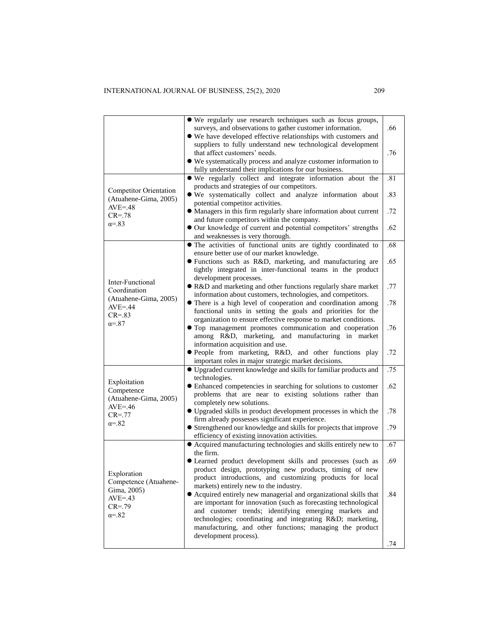|                                                        | • We regularly use research techniques such as focus groups,<br>surveys, and observations to gather customer information.<br>• We have developed effective relationships with customers and                              | .66 |
|--------------------------------------------------------|--------------------------------------------------------------------------------------------------------------------------------------------------------------------------------------------------------------------------|-----|
|                                                        | suppliers to fully understand new technological development<br>that affect customers' needs.<br>• We systematically process and analyze customer information to<br>fully understand their implications for our business. | .76 |
|                                                        | • We regularly collect and integrate information about the<br>products and strategies of our competitors.                                                                                                                | .81 |
| <b>Competitor Orientation</b><br>(Atuahene-Gima, 2005) | • We systematically collect and analyze information about<br>potential competitor activities.                                                                                                                            | .83 |
| $AVE = .48$<br>$CR = .78$                              | • Managers in this firm regularly share information about current                                                                                                                                                        | .72 |
| $\alpha = 83$                                          | and future competitors within the company.<br>Our knowledge of current and potential competitors' strengths<br>and weaknesses is very thorough.                                                                          | .62 |
|                                                        | • The activities of functional units are tightly coordinated to<br>ensure better use of our market knowledge.                                                                                                            | .68 |
|                                                        | • Functions such as R&D, marketing, and manufacturing are<br>tightly integrated in inter-functional teams in the product                                                                                                 | .65 |
| Inter-Functional<br>Coordination                       | development processes.<br>• R&D and marketing and other functions regularly share market                                                                                                                                 | .77 |
| (Atuahene-Gima, 2005)<br>$AVE = .44$                   | information about customers, technologies, and competitors.<br>• There is a high level of cooperation and coordination among<br>functional units in setting the goals and priorities for the                             | .78 |
| $CR = .83$<br>$\alpha = 87$                            | organization to ensure effective response to market conditions.<br>• Top management promotes communication and cooperation<br>among R&D, marketing, and manufacturing in market                                          | .76 |
|                                                        | information acquisition and use.<br>• People from marketing, R&D, and other functions play<br>important roles in major strategic market decisions.                                                                       | .72 |
|                                                        | • Upgraded current knowledge and skills for familiar products and                                                                                                                                                        | .75 |
| Exploitation<br>Competence<br>(Atuahene-Gima, 2005)    | technologies.<br>• Enhanced competencies in searching for solutions to customer<br>problems that are near to existing solutions rather than                                                                              | .62 |
| $AVE = .46$<br>$CR = .77$                              | completely new solutions.<br>· Upgraded skills in product development processes in which the                                                                                                                             | .78 |
| $\alpha = 82$                                          | firm already possesses significant experience.<br>• Strengthened our knowledge and skills for projects that improve                                                                                                      | .79 |
|                                                        | efficiency of existing innovation activities.<br>• Acquired manufacturing technologies and skills entirely new to                                                                                                        | .67 |
|                                                        | the firm.<br>• Learned product development skills and processes (such as                                                                                                                                                 | .69 |
| Exploration<br>Competence (Atuahene-                   | product design, prototyping new products, timing of new<br>product introductions, and customizing products for local                                                                                                     |     |
| Gima, 2005)<br>$AVE = .43$                             | markets) entirely new to the industry.<br>• Acquired entirely new managerial and organizational skills that<br>are important for innovation (such as forecasting technological                                           | .84 |
| $CR = .79$<br>$\alpha = 82$                            | and customer trends; identifying emerging markets and<br>technologies; coordinating and integrating R&D marketing,                                                                                                       |     |
|                                                        | manufacturing, and other functions; managing the product<br>development process).                                                                                                                                        |     |
|                                                        |                                                                                                                                                                                                                          | .74 |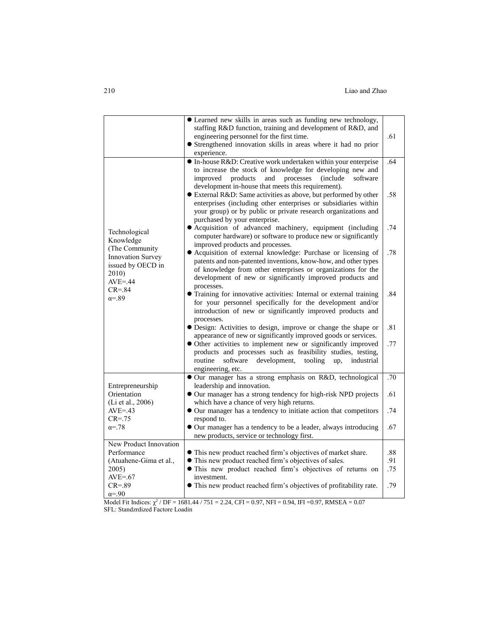|                                                                                   | • Learned new skills in areas such as funding new technology,<br>staffing R&D function, training and development of R&D, and<br>engineering personnel for the first time.<br>• Strengthened innovation skills in areas where it had no prior<br>experience.                | .61        |
|-----------------------------------------------------------------------------------|----------------------------------------------------------------------------------------------------------------------------------------------------------------------------------------------------------------------------------------------------------------------------|------------|
|                                                                                   | • In-house R&D: Creative work undertaken within your enterprise<br>to increase the stock of knowledge for developing new and<br>products<br><i>(include)</i><br>improved<br>and<br>processes<br>software<br>development in-house that meets this requirement).             | .64        |
|                                                                                   | • External R&D: Same activities as above, but performed by other<br>enterprises (including other enterprises or subsidiaries within<br>your group) or by public or private research organizations and<br>purchased by your enterprise.                                     | .58        |
| Technological<br>Knowledge                                                        | • Acquisition of advanced machinery, equipment (including<br>computer hardware) or software to produce new or significantly<br>improved products and processes.                                                                                                            | .74        |
| (The Community)<br>Innovation Survey<br>issued by OECD in<br>2010)<br>$AVE = .44$ | · Acquisition of external knowledge: Purchase or licensing of<br>patents and non-patented inventions, know-how, and other types<br>of knowledge from other enterprises or organizations for the<br>development of new or significantly improved products and<br>processes. | .78        |
| $CR = .84$<br>$\alpha = 89$                                                       | • Training for innovative activities: Internal or external training<br>for your personnel specifically for the development and/or<br>introduction of new or significantly improved products and<br>processes.                                                              | .84        |
|                                                                                   | • Design: Activities to design, improve or change the shape or<br>appearance of new or significantly improved goods or services.                                                                                                                                           | .81        |
|                                                                                   | • Other activities to implement new or significantly improved<br>products and processes such as feasibility studies, testing,<br>development,<br>routine<br>software<br>tooling<br>industrial<br>up,<br>engineering, etc.                                                  | .77        |
|                                                                                   | Our manager has a strong emphasis on R&D, technological                                                                                                                                                                                                                    | .70        |
| Entrepreneurship<br>Orientation<br>(Li et al., 2006)                              | leadership and innovation.<br>• Our manager has a strong tendency for high-risk NPD projects<br>which have a chance of very high returns.                                                                                                                                  | .61        |
| $AVE = .43$<br>$CR = .75$                                                         | • Our manager has a tendency to initiate action that competitors<br>respond to.                                                                                                                                                                                            | .74        |
| $\alpha = 78$                                                                     | Our manager has a tendency to be a leader, always introducing<br>new products, service or technology first.                                                                                                                                                                | .67        |
| New Product Innovation                                                            |                                                                                                                                                                                                                                                                            |            |
| Performance                                                                       | • This new product reached firm's objectives of market share.                                                                                                                                                                                                              | .88        |
| (Atuahene-Gima et al.,<br>2005)                                                   | • This new product reached firm's objectives of sales.<br>· This new product reached firm's objectives of returns on                                                                                                                                                       | .91<br>.75 |
| $AVE = .67$                                                                       | investment.                                                                                                                                                                                                                                                                |            |
| $CR = .89$                                                                        | • This new product reached firm's objectives of profitability rate.                                                                                                                                                                                                        | .79        |
| $\alpha = 90$                                                                     |                                                                                                                                                                                                                                                                            |            |

Model Fit Indices:  $\chi^2$  / DF = 1681.44 / 751 = 2.24, CFI = 0.97, NFI = 0.94, IFI = 0.97, RMSEA = 0.07 SFL: Standzrdized Factore Loadin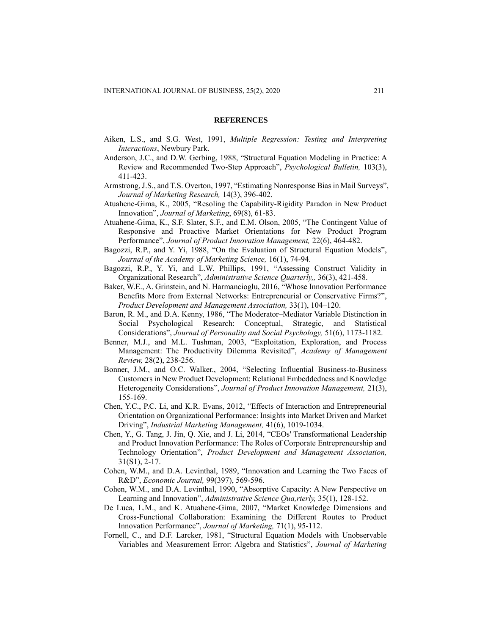#### **REFERENCES**

- <span id="page-16-0"></span>Aiken, L.S., and S.G. West, 1991, *Multiple Regression: Testing and Interpreting Interactions*, Newbury Park.
- Anderson, J.C., and D.W. Gerbing, 1988, "Structural Equation Modeling in Practice: A Review and Recommended Two-Step Approach", *Psychological Bulletin,* 103(3), 411-423.
- Armstrong, J.S., and T.S. Overton, 1997, "Estimating Nonresponse Bias in Mail Surveys", *Journal of Marketing Research,* 14(3), 396-402.
- Atuahene-Gima, K., 2005, "Resoling the Capability-Rigidity Paradon in New Product Innovation", *Journal of Marketing*, 69(8), 61-83.
- Atuahene-Gima, K., S.F. Slater, S.F., and E.M. Olson, 2005, "The Contingent Value of Responsive and Proactive Market Orientations for New Product Program Performance", *Journal of Product Innovation Management,* 22(6), 464-482.
- Bagozzi, R.P., and Y. Yi, 1988, "On the Evaluation of Structural Equation Models", *Journal of the Academy of Marketing Science,* 16(1), 74-94.
- <span id="page-16-2"></span>Bagozzi, R.P., Y. Yi, and L.W. Phillips, 1991, "Assessing Construct Validity in Organizational Research", *Administrative Science Quarterly,,* 36(3), 421-458.
- Baker, W.E., A. Grinstein, and N. Harmancioglu, 2016, "Whose Innovation Performance Benefits More from External Networks: Entrepreneurial or Conservative Firms?", *Product Development and Management Association,* 33(1), 104–120.
- Baron, R. M., and D.A. Kenny, 1986, "The Moderator–Mediator Variable Distinction in Social Psychological Research: Conceptual, Strategic, and Statistical Considerations", *Journal of Personality and Social Psychology,* 51(6), 1173-1182.
- Benner, M.J., and M.L. Tushman, 2003, "Exploitation, Exploration, and Process Management: The Productivity Dilemma Revisited", *Academy of Management Review,* 28(2), 238-256.
- Bonner, J.M., and O.C. Walker., 2004, "Selecting Influential Business-to-Business Customers in New Product Development: Relational Embeddedness and Knowledge Heterogeneity Considerations", *Journal of Product Innovation Management,* 21(3), 155-169.
- <span id="page-16-1"></span>Chen, Y.C., P.C. Li, and K.R. Evans, 2012, "Effects of Interaction and Entrepreneurial Orientation on Organizational Performance: Insights into Market Driven and Market Driving", *Industrial Marketing Management,* 41(6), 1019-1034.
- Chen, Y., G. Tang, J. Jin, Q. Xie, and J. Li, 2014, "CEOs' Transformational Leadership and Product Innovation Performance: The Roles of Corporate Entrepreneurship and Technology Orientation", *Product Development and Management Association,*  31(S1), 2-17.
- Cohen, W.M., and D.A. Levinthal, 1989, "Innovation and Learning the Two Faces of R&D", *Economic Journal,* 99(397), 569-596.
- Cohen, W.M., and D.A. Levinthal, 1990, "Absorptive Capacity: A New Perspective on Learning and Innovation", *Administrative Science Qua,rterly,* 35(1), 128-152.
- De Luca, L.M., and K. Atuahene-Gima, 2007, "Market Knowledge Dimensions and Cross-Functional Collaboration: Examining the Different Routes to Product Innovation Performance", *Journal of Marketing,* 71(1), 95-112.
- Fornell, C., and D.F. Larcker, 1981, "Structural Equation Models with Unobservable Variables and Measurement Error: Algebra and Statistics", *Journal of Marketing*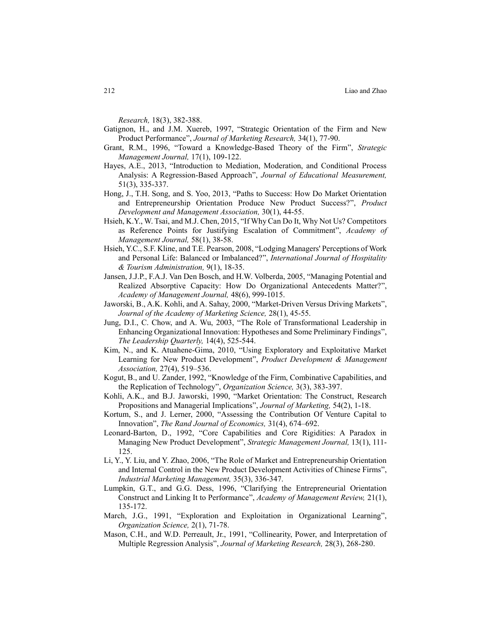*Research,* 18(3), 382-388.

- <span id="page-17-1"></span>Gatignon, H., and J.M. Xuereb, 1997, "Strategic Orientation of the Firm and New Product Performance", *Journal of Marketing Research,* 34(1), 77-90.
- Grant, R.M., 1996, "Toward a Knowledge-Based Theory of the Firm", *Strategic Management Journal,* 17(1), 109-122.
- Hayes, A.E., 2013, "Introduction to Mediation, Moderation, and Conditional Process Analysis: A Regression-Based Approach", *Journal of Educational Measurement,*  51(3), 335-337.
- <span id="page-17-0"></span>Hong, J., T.H. Song, and S. Yoo, 2013, "Paths to Success: How Do Market Orientation and Entrepreneurship Orientation Produce New Product Success?", *Product Development and Management Association,* 30(1), 44-55.
- Hsieh, K.Y., W. Tsai, and M.J. Chen, 2015, "If Why Can Do It, Why Not Us? Competitors as Reference Points for Justifying Escalation of Commitment", *Academy of Management Journal,* 58(1), 38-58.
- Hsieh, Y.C., S.F. Kline, and T.E. Pearson, 2008, "Lodging Managers' Perceptions of Work and Personal Life: Balanced or Imbalanced?", *International Journal of Hospitality & Tourism Administration,* 9(1), 18-35.
- Jansen, J.J.P., F.A.J. Van Den Bosch, and H.W. Volberda, 2005, "Managing Potential and Realized Absorptive Capacity: How Do Organizational Antecedents Matter?", *Academy of Management Journal,* 48(6), 999-1015.
- Jaworski, B., A.K. Kohli, and A. Sahay, 2000, "Market-Driven Versus Driving Markets", *Journal of the Academy of Marketing Science,* 28(1), 45-55.
- Jung, D.I., C. Chow, and A. Wu, 2003, "The Role of Transformational Leadership in Enhancing Organizational Innovation: Hypotheses and Some Preliminary Findings", *The Leadership Quarterly,* 14(4), 525-544.
- Kim, N., and K. Atuahene-Gima, 2010, "Using Exploratory and Exploitative Market Learning for New Product Development", *Product Development & Management Association,* 27(4), 519–536.
- Kogut, B., and U. Zander, 1992, "Knowledge of the Firm, Combinative Capabilities, and the Replication of Technology", *Organization Science,* 3(3), 383-397.
- Kohli, A.K., and B.J. Jaworski, 1990, "Market Orientation: The Construct, Research Propositions and Managerial Implications", *Journal of Marketing,* 54(2), 1-18.
- Kortum, S., and J. Lerner, 2000, "Assessing the Contribution Of Venture Capital to Innovation", *The Rand Journal of Economics,* 31(4), 674–692.
- Leonard-Barton, D., 1992, "Core Capabilities and Core Rigidities: A Paradox in Managing New Product Development", *Strategic Management Journal,* 13(1), 111- 125.
- Li, Y., Y. Liu, and Y. Zhao, 2006, "The Role of Market and Entrepreneurship Orientation and Internal Control in the New Product Development Activities of Chinese Firms", *Industrial Marketing Management,* 35(3), 336-347.
- Lumpkin, G.T., and G.G. Dess, 1996, "Clarifying the Entrepreneurial Orientation Construct and Linking It to Performance", *Academy of Management Review,* 21(1), 135-172.
- March, J.G., 1991, "Exploration and Exploitation in Organizational Learning", *Organization Science,* 2(1), 71-78.
- Mason, C.H., and W.D. Perreault, Jr., 1991, "Collinearity, Power, and Interpretation of Multiple Regression Analysis", *Journal of Marketing Research,* 28(3), 268-280.